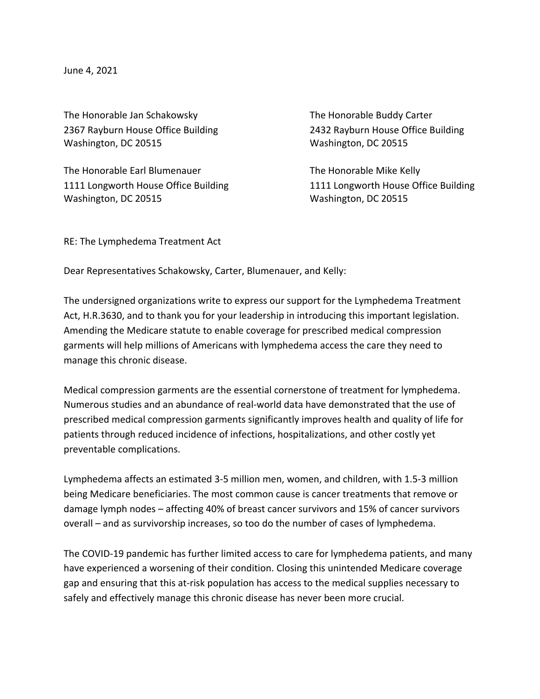June 4, 2021

The Honorable Jan Schakowsky The Honorable Buddy Carter Washington, DC 20515 Washington, DC 20515

The Honorable Earl Blumenauer The Honorable Mike Kelly Washington, DC 20515 Washington, DC 20515

2367 Rayburn House Office Building 2432 Rayburn House Office Building

1111 Longworth House Office Building 1111 Longworth House Office Building

RE: The Lymphedema Treatment Act

Dear Representatives Schakowsky, Carter, Blumenauer, and Kelly:

The undersigned organizations write to express our support for the Lymphedema Treatment Act, H.R.3630, and to thank you for your leadership in introducing this important legislation. Amending the Medicare statute to enable coverage for prescribed medical compression garments will help millions of Americans with lymphedema access the care they need to manage this chronic disease.

Medical compression garments are the essential cornerstone of treatment for lymphedema. Numerous studies and an abundance of real-world data have demonstrated that the use of prescribed medical compression garments significantly improves health and quality of life for patients through reduced incidence of infections, hospitalizations, and other costly yet preventable complications.

Lymphedema affects an estimated 3-5 million men, women, and children, with 1.5-3 million being Medicare beneficiaries. The most common cause is cancer treatments that remove or damage lymph nodes – affecting 40% of breast cancer survivors and 15% of cancer survivors overall – and as survivorship increases, so too do the number of cases of lymphedema.

The COVID-19 pandemic has further limited access to care for lymphedema patients, and many have experienced a worsening of their condition. Closing this unintended Medicare coverage gap and ensuring that this at-risk population has access to the medical supplies necessary to safely and effectively manage this chronic disease has never been more crucial.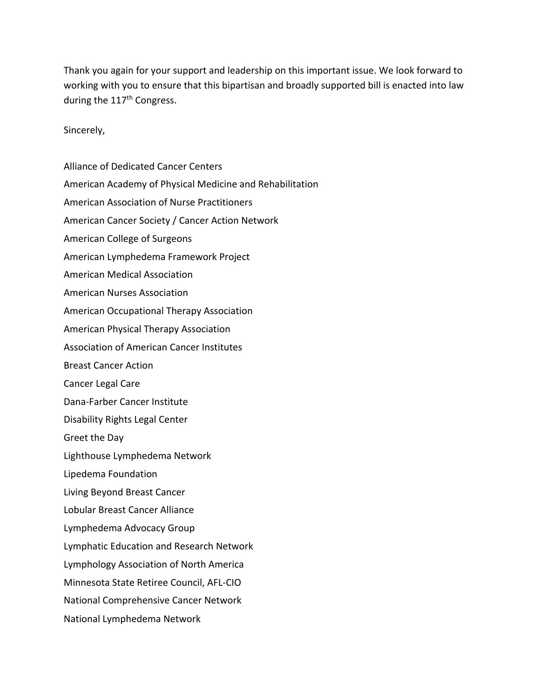Thank you again for your support and leadership on this important issue. We look forward to working with you to ensure that this bipartisan and broadly supported bill is enacted into law during the 117<sup>th</sup> Congress.

Sincerely,

Alliance of Dedicated Cancer Centers American Academy of Physical Medicine and Rehabilitation American Association of Nurse Practitioners American Cancer Society / Cancer Action Network American College of Surgeons American Lymphedema Framework Project American Medical Association American Nurses Association American Occupational Therapy Association American Physical Therapy Association Association of American Cancer Institutes Breast Cancer Action Cancer Legal Care Dana-Farber Cancer Institute Disability Rights Legal Center Greet the Day Lighthouse Lymphedema Network Lipedema Foundation Living Beyond Breast Cancer Lobular Breast Cancer Alliance Lymphedema Advocacy Group Lymphatic Education and Research Network Lymphology Association of North America Minnesota State Retiree Council, AFL-CIO National Comprehensive Cancer Network National Lymphedema Network